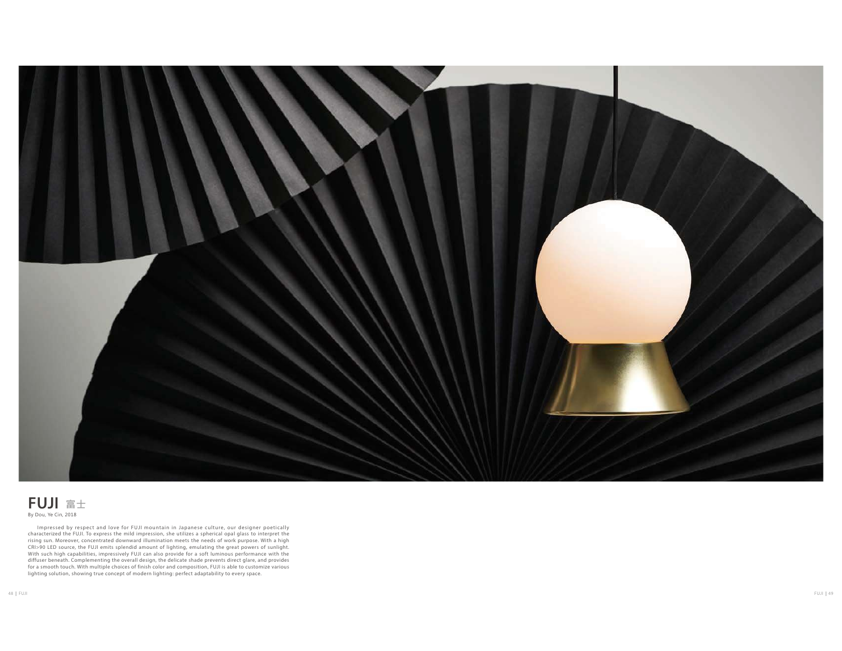

## $\mathsf{FUJI}$  富士

Impressed by respect and love for FUJI mountain in Japanese culture, our designer poetically<br>characterized the FUJI. To express the mild impression, she utilizes a spherical opal glass to interpret the<br>rising sun. Moreover CRI>90 LED source, the FUJI emits splendid amount of lighting, emulating the great powers of sunlight.<br>With such high capabilities, impressively FUJI can also provide for a soft luminous performance with the<br>diffuser benea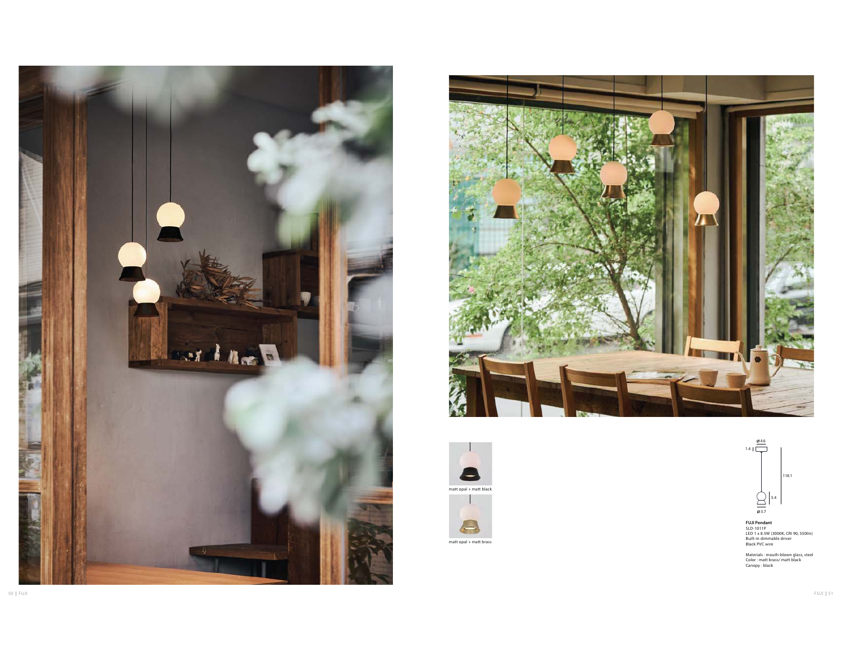









**FUJI Pendant<br>SLD-1011P<br>LED 1 x 8.5W (3000K, CRI 90, 550lm)<br>Built-in dimmable driver<br>Black PVC wire** 

Materials : mouth-blown glass, steel Color : matt brass/ matt black Canopy : black